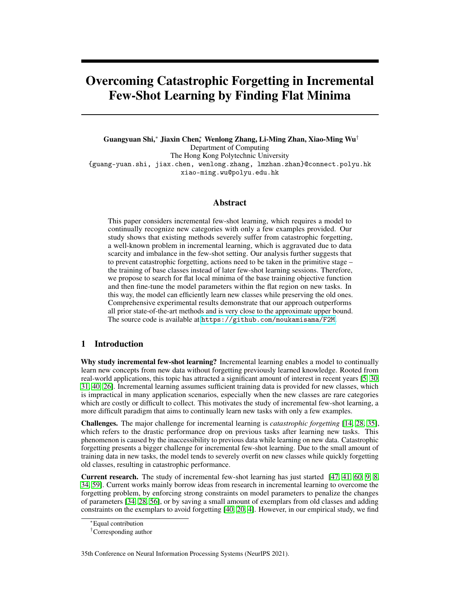# Overcoming Catastrophic Forgetting in Incremental Few-Shot Learning by Finding Flat Minima

Guangyuan Shi,<sup>∗</sup> Jiaxin Chen<sup>∗</sup> , Wenlong Zhang, Li-Ming Zhan, Xiao-Ming Wu† Department of Computing The Hong Kong Polytechnic University {guang-yuan.shi, jiax.chen, wenlong.zhang, lmzhan.zhan}@connect.polyu.hk xiao-ming.wu@polyu.edu.hk

## Abstract

This paper considers incremental few-shot learning, which requires a model to continually recognize new categories with only a few examples provided. Our study shows that existing methods severely suffer from catastrophic forgetting, a well-known problem in incremental learning, which is aggravated due to data scarcity and imbalance in the few-shot setting. Our analysis further suggests that to prevent catastrophic forgetting, actions need to be taken in the primitive stage – the training of base classes instead of later few-shot learning sessions. Therefore, we propose to search for flat local minima of the base training objective function and then fine-tune the model parameters within the flat region on new tasks. In this way, the model can efficiently learn new classes while preserving the old ones. Comprehensive experimental results demonstrate that our approach outperforms all prior state-of-the-art methods and is very close to the approximate upper bound. The source code is available at <https://github.com/moukamisama/F2M>.

# 1 Introduction

Why study incremental few-shot learning? Incremental learning enables a model to continually learn new concepts from new data without forgetting previously learned knowledge. Rooted from real-world applications, this topic has attracted a significant amount of interest in recent years [\[5,](#page-10-0) [30,](#page-11-0) [31,](#page-12-0) [40,](#page-12-1) [26\]](#page-11-1). Incremental learning assumes sufficient training data is provided for new classes, which is impractical in many application scenarios, especially when the new classes are rare categories which are costly or difficult to collect. This motivates the study of incremental few-shot learning, a more difficult paradigm that aims to continually learn new tasks with only a few examples.

Challenges. The major challenge for incremental learning is *catastrophic forgetting* [\[14,](#page-10-1) [28,](#page-11-2) [35\]](#page-12-2), which refers to the drastic performance drop on previous tasks after learning new tasks. This phenomenon is caused by the inaccessibility to previous data while learning on new data. Catastrophic forgetting presents a bigger challenge for incremental few-shot learning. Due to the small amount of training data in new tasks, the model tends to severely overfit on new classes while quickly forgetting old classes, resulting in catastrophic performance.

Current research. The study of incremental few-shot learning has just started [\[47,](#page-12-3) [41,](#page-12-4) [60,](#page-13-0) [9,](#page-10-2) [8,](#page-10-3) [34,](#page-12-5) [59\]](#page-13-1). Current works mainly borrow ideas from research in incremental learning to overcome the forgetting problem, by enforcing strong constraints on model parameters to penalize the changes of parameters [\[34,](#page-12-5) [28,](#page-11-2) [56\]](#page-13-2), or by saving a small amount of exemplars from old classes and adding constraints on the exemplars to avoid forgetting [\[40,](#page-12-1) [20,](#page-11-3) [4\]](#page-10-4). However, in our empirical study, we find

35th Conference on Neural Information Processing Systems (NeurIPS 2021).

<sup>∗</sup>Equal contribution

<sup>†</sup>Corresponding author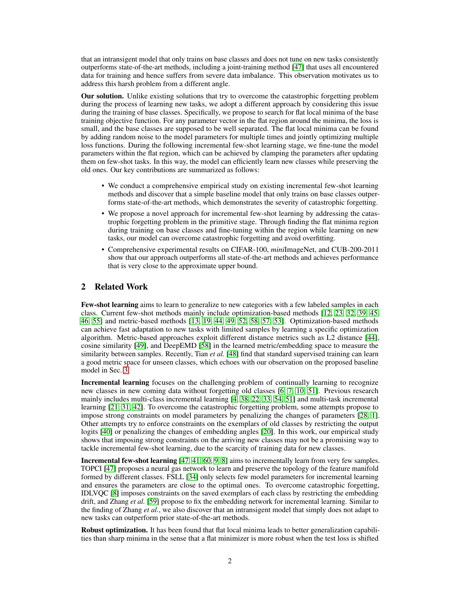that an intransigent model that only trains on base classes and does not tune on new tasks consistently outperforms state-of-the-art methods, including a joint-training method [\[47\]](#page-12-3) that uses all encountered data for training and hence suffers from severe data imbalance. This observation motivates us to address this harsh problem from a different angle.

Our solution. Unlike existing solutions that try to overcome the catastrophic forgetting problem during the process of learning new tasks, we adopt a different approach by considering this issue during the training of base classes. Specifically, we propose to search for flat local minima of the base training objective function. For any parameter vector in the flat region around the minima, the loss is small, and the base classes are supposed to be well separated. The flat local minima can be found by adding random noise to the model parameters for multiple times and jointly optimizing multiple loss functions. During the following incremental few-shot learning stage, we fine-tune the model parameters within the flat region, which can be achieved by clamping the parameters after updating them on few-shot tasks. In this way, the model can efficiently learn new classes while preserving the old ones. Our key contributions are summarized as follows:

- We conduct a comprehensive empirical study on existing incremental few-shot learning methods and discover that a simple baseline model that only trains on base classes outperforms state-of-the-art methods, which demonstrates the severity of catastrophic forgetting.
- We propose a novel approach for incremental few-shot learning by addressing the catastrophic forgetting problem in the primitive stage. Through finding the flat minima region during training on base classes and fine-tuning within the region while learning on new tasks, our model can overcome catastrophic forgetting and avoid overfitting.
- Comprehensive experimental results on CIFAR-100, *mini*ImageNet, and CUB-200-2011 show that our approach outperforms all state-of-the-art methods and achieves performance that is very close to the approximate upper bound.

# 2 Related Work

Few-shot learning aims to learn to generalize to new categories with a few labeled samples in each class. Current few-shot methods mainly include optimization-based methods [\[12,](#page-10-5) [23,](#page-11-4) [32,](#page-12-6) [39,](#page-12-7) [45,](#page-12-8) [46,](#page-12-9) [55\]](#page-13-3) and metric-based methods [\[13,](#page-10-6) [19,](#page-11-5) [44,](#page-12-10) [49,](#page-13-4) [52,](#page-13-5) [58,](#page-13-6) [57,](#page-13-7) [53\]](#page-13-8). Optimization-based methods can achieve fast adaptation to new tasks with limited samples by learning a specific optimization algorithm. Metric-based approaches exploit different distance metrics such as L2 distance [\[44\]](#page-12-10), cosine similarity [\[49\]](#page-13-4), and DeepEMD [\[58\]](#page-13-6) in the learned metric/embedding space to measure the similarity between samples. Recently, Tian *et al.* [\[48\]](#page-13-9) find that standard supervised training can learn a good metric space for unseen classes, which echoes with our observation on the proposed baseline model in Sec. [3.](#page-2-0)

Incremental learning focuses on the challenging problem of continually learning to recognize new classes in new coming data without forgetting old classes [\[6,](#page-10-7) [7,](#page-10-8) [10,](#page-10-9) [51\]](#page-13-10). Previous research mainly includes multi-class incremental learning [\[4,](#page-10-4) [38,](#page-12-11) [22,](#page-11-6) [33,](#page-12-12) [54,](#page-13-11) [51\]](#page-13-10) and multi-task incremental learning [\[21,](#page-11-7) [31,](#page-12-0) [42\]](#page-12-13). To overcome the catastrophic forgetting problem, some attempts propose to impose strong constraints on model parameters by penalizing the changes of parameters [\[28,](#page-11-2) [1\]](#page-10-10). Other attempts try to enforce constraints on the exemplars of old classes by restricting the output logits [\[40\]](#page-12-1) or penalizing the changes of embedding angles [\[20\]](#page-11-3). In this work, our empirical study shows that imposing strong constraints on the arriving new classes may not be a promising way to tackle incremental few-shot learning, due to the scarcity of training data for new classes.

Incremental few-shot learning [\[47,](#page-12-3) [41,](#page-12-4) [60,](#page-13-0) [9,](#page-10-2) [8\]](#page-10-3) aims to incrementally learn from very few samples. TOPCI [\[47\]](#page-12-3) proposes a neural gas network to learn and preserve the topology of the feature manifold formed by different classes. FSLL [\[34\]](#page-12-5) only selects few model parameters for incremental learning and ensures the parameters are close to the optimal ones. To overcome catastrophic forgetting, IDLVQC [\[8\]](#page-10-3) imposes constraints on the saved exemplars of each class by restricting the embedding drift, and Zhang *et al.* [\[59\]](#page-13-1) propose to fix the embedding network for incremental learning. Similar to the finding of Zhang *et al.*, we also discover that an intransigent model that simply does not adapt to new tasks can outperform prior state-of-the-art methods.

Robust optimization. It has been found that flat local minima leads to better generalization capabilities than sharp minima in the sense that a flat minimizer is more robust when the test loss is shifted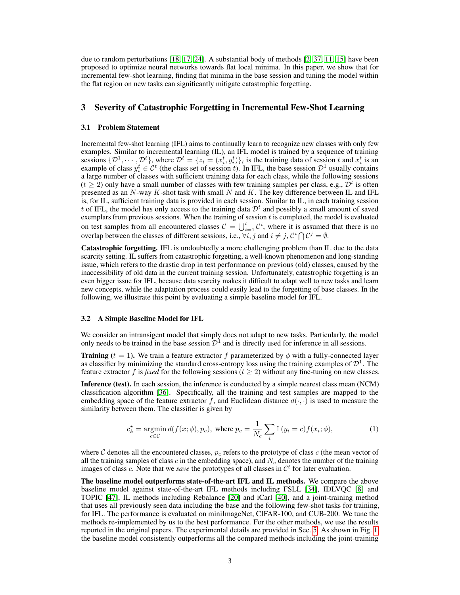due to random perturbations [\[18,](#page-11-8) [17,](#page-11-9) [24\]](#page-11-10). A substantial body of methods [\[2,](#page-10-11) [37,](#page-12-14) [11,](#page-10-12) [15\]](#page-11-11) have been proposed to optimize neural networks towards flat local minima. In this paper, we show that for incremental few-shot learning, finding flat minima in the base session and tuning the model within the flat region on new tasks can significantly mitigate catastrophic forgetting.

## <span id="page-2-0"></span>3 Severity of Catastrophic Forgetting in Incremental Few-Shot Learning

#### 3.1 Problem Statement

Incremental few-shot learning (IFL) aims to continually learn to recognize new classes with only few examples. Similar to incremental learning (IL), an IFL model is trained by a sequence of training sessions  $\{\mathcal{D}^1, \cdots, \mathcal{D}^t\}$ , where  $\mathcal{D}^t = \{z_i = (x_i^t, y_i^t)\}_i$  is the training data of session t and  $x_i^t$  is an example of class  $y_i^t \in C^t$  (the class set of session t). In IFL, the base session  $D^1$  usually contains a large number of classes with sufficient training data for each class, while the following sessions  $(t \ge 2)$  only have a small number of classes with few training samples per class, e.g.,  $\bar{\mathcal{D}}^t$  is often presented as an  $N$ -way K-shot task with small  $N$  and  $K$ . The key difference between IL and IFL is, for IL, sufficient training data is provided in each session. Similar to IL, in each training session t of IFL, the model has only access to the training data  $\mathcal{D}^t$  and possibly a small amount of saved exemplars from previous sessions. When the training of session  $t$  is completed, the model is evaluated on test samples from all encountered classes  $C = \bigcup_{i=1}^{t} C^i$ , where it is assumed that there is no overlap between the classes of different sessions, i.e.,  $\forall i, j$  and  $i \neq j$ ,  $\mathcal{C}^i \bigcap \mathcal{C}^j = \emptyset$ .

Catastrophic forgetting. IFL is undoubtedly a more challenging problem than IL due to the data scarcity setting. IL suffers from catastrophic forgetting, a well-known phenomenon and long-standing issue, which refers to the drastic drop in test performance on previous (old) classes, caused by the inaccessibility of old data in the current training session. Unfortunately, catastrophic forgetting is an even bigger issue for IFL, because data scarcity makes it difficult to adapt well to new tasks and learn new concepts, while the adaptation process could easily lead to the forgetting of base classes. In the following, we illustrate this point by evaluating a simple baseline model for IFL.

## 3.2 A Simple Baseline Model for IFL

We consider an intransigent model that simply does not adapt to new tasks. Particularly, the model only needs to be trained in the base session  $\mathcal{D}^1$  and is directly used for inference in all sessions.

**Training** ( $t = 1$ ). We train a feature extractor f parameterized by  $\phi$  with a fully-connected layer as classifier by minimizing the standard cross-entropy loss using the training examples of  $\mathcal{D}^1$ . The feature extractor f is fixed for the following sessions ( $t \geq 2$ ) without any fine-tuning on new classes.

Inference (test). In each session, the inference is conducted by a simple nearest class mean (NCM) classification algorithm [\[36\]](#page-12-15). Specifically, all the training and test samples are mapped to the embedding space of the feature extractor f, and Euclidean distance  $d(\cdot, \cdot)$  is used to measure the similarity between them. The classifier is given by

<span id="page-2-1"></span>
$$
c_k^* = \underset{c \in \mathcal{C}}{\operatorname{argmin}} d(f(x; \phi), p_c), \text{ where } p_c = \frac{1}{N_c} \sum_i \mathbb{1}(y_i = c) f(x_i; \phi), \tag{1}
$$

where  $C$  denotes all the encountered classes,  $p_c$  refers to the prototype of class  $c$  (the mean vector of all the training samples of class c in the embedding space), and  $N_c$  denotes the number of the training images of class  $c$ . Note that we *save* the prototypes of all classes in  $\mathcal{C}^t$  for later evaluation.

The baseline model outperforms state-of-the-art IFL and IL methods. We compare the above baseline model against state-of-the-art IFL methods including FSLL [\[34\]](#page-12-5), IDLVQC [\[8\]](#page-10-3) and TOPIC [\[47\]](#page-12-3), IL methods including Rebalance [\[20\]](#page-11-3) and iCarl [\[40\]](#page-12-1), and a joint-training method that uses all previously seen data including the base and the following few-shot tasks for training, for IFL. The performance is evaluated on miniImageNet, CIFAR-100, and CUB-200. We tune the methods re-implemented by us to the best performance. For the other methods, we use the results reported in the original papers. The experimental details are provided in Sec. [5.](#page-6-0) As shown in Fig. [1,](#page-3-0) the baseline model consistently outperforms all the compared methods including the joint-training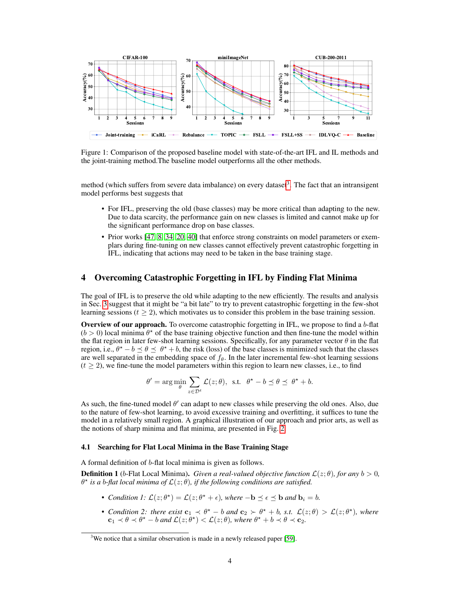

<span id="page-3-0"></span>Figure 1: Comparison of the proposed baseline model with state-of-the-art IFL and IL methods and the joint-training method.The baseline model outperforms all the other methods.

method (which suffers from severe data imbalance) on every dataset<sup>[3](#page-3-1)</sup>. The fact that an intransigent model performs best suggests that

- For IFL, preserving the old (base classes) may be more critical than adapting to the new. Due to data scarcity, the performance gain on new classes is limited and cannot make up for the significant performance drop on base classes.
- Prior works [\[47,](#page-12-3) [8,](#page-10-3) [34,](#page-12-5) [20,](#page-11-3) [40\]](#page-12-1) that enforce strong constraints on model parameters or exemplars during fine-tuning on new classes cannot effectively prevent catastrophic forgetting in IFL, indicating that actions may need to be taken in the base training stage.

# 4 Overcoming Catastrophic Forgetting in IFL by Finding Flat Minima

The goal of IFL is to preserve the old while adapting to the new efficiently. The results and analysis in Sec. [3](#page-2-0) suggest that it might be "a bit late" to try to prevent catastrophic forgetting in the few-shot learning sessions ( $t \geq 2$ ), which motivates us to consider this problem in the base training session.

**Overview of our approach.** To overcome catastrophic forgetting in IFL, we propose to find a b-flat  $(b > 0)$  local minima  $\theta^*$  of the base training objective function and then fine-tune the model within the flat region in later few-shot learning sessions. Specifically, for any parameter vector  $\theta$  in the flat region, i.e.,  $\theta^* - b \le \theta \le \theta^* + b$ , the risk (loss) of the base classes is minimized such that the classes are well separated in the embedding space of  $f_\theta$ . In the later incremental few-shot learning sessions  $(t \geq 2)$ , we fine-tune the model parameters within this region to learn new classes, i.e., to find

$$
\theta' = \arg\min_{\theta} \sum_{z \in \mathcal{D}^t} \mathcal{L}(z; \theta), \text{ s.t. } \theta^* - b \preceq \theta \preceq \theta^* + b.
$$

As such, the fine-tuned model  $\theta'$  can adapt to new classes while preserving the old ones. Also, due to the nature of few-shot learning, to avoid excessive training and overfitting, it suffices to tune the model in a relatively small region. A graphical illustration of our approach and prior arts, as well as the notions of sharp minima and flat minima, are presented in Fig. [2.](#page-4-0)

## 4.1 Searching for Flat Local Minima in the Base Training Stage

A formal definition of b-flat local minima is given as follows.

**Definition 1** (b-Flat Local Minima). *Given a real-valued objective function*  $\mathcal{L}(z;\theta)$ *, for any*  $b > 0$ *,*  $\theta^{\star}$  is a b-flat local minima of  $\mathcal{L}(z;\theta)$ , if the following conditions are satisfied.

- *Condition 1:*  $\mathcal{L}(z; \theta^*) = \mathcal{L}(z; \theta^* + \epsilon)$ *, where*  $-\mathbf{b} \preceq \epsilon \preceq \mathbf{b}$  *and*  $\mathbf{b}_i = b$ *.*
- *Condition 2: there exist*  $\mathbf{c}_1 \prec \theta^* b$  *and*  $\mathbf{c}_2 \succ \theta^* + b$ , *s.t.*  $\mathcal{L}(z;\theta) > \mathcal{L}(z;\theta^*)$ , *where*  ${\bf c}_1 \prec \theta \prec \theta^{\star} - b$  and  $\mathcal{L}(z; \theta^{\star}) < \mathcal{L}(z; \theta)$ , where  $\theta^{\star} + b \prec \theta \prec {\bf c}_2$ .

<span id="page-3-1"></span><sup>&</sup>lt;sup>3</sup>We notice that a similar observation is made in a newly released paper [\[59\]](#page-13-1).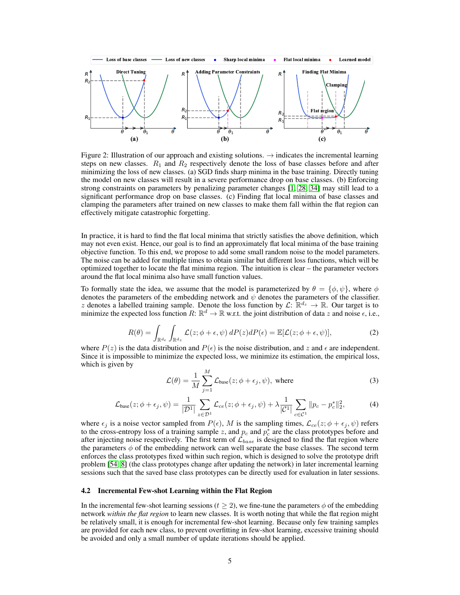

<span id="page-4-0"></span>Figure 2: Illustration of our approach and existing solutions.  $\rightarrow$  indicates the incremental learning steps on new classes.  $R_1$  and  $R_2$  respectively denote the loss of base classes before and after minimizing the loss of new classes. (a) SGD finds sharp minima in the base training. Directly tuning the model on new classes will result in a severe performance drop on base classes. (b) Enforcing strong constraints on parameters by penalizing parameter changes [\[1,](#page-10-10) [28,](#page-11-2) [34\]](#page-12-5) may still lead to a significant performance drop on base classes. (c) Finding flat local minima of base classes and clamping the parameters after trained on new classes to make them fall within the flat region can effectively mitigate catastrophic forgetting.

In practice, it is hard to find the flat local minima that strictly satisfies the above definition, which may not even exist. Hence, our goal is to find an approximately flat local minima of the base training objective function. To this end, we propose to add some small random noise to the model parameters. The noise can be added for multiple times to obtain similar but different loss functions, which will be optimized together to locate the flat minima region. The intuition is clear – the parameter vectors around the flat local minima also have small function values.

To formally state the idea, we assume that the model is parameterized by  $\theta = \{\phi, \psi\}$ , where  $\phi$ denotes the parameters of the embedding network and  $\psi$  denotes the parameters of the classifier. z denotes a labelled training sample. Denote the loss function by  $\mathcal{L}: \mathbb{R}^{d_z} \to \mathbb{R}$ . Our target is to minimize the expected loss function  $R: \mathbb{R}^d \to \mathbb{R}$  w.r.t. the joint distribution of data z and noise  $\epsilon$ , i.e.,

$$
R(\theta) = \int_{\mathbb{R}^{d_{\epsilon}}} \int_{\mathbb{R}^{d_{z}}} \mathcal{L}(z; \phi + \epsilon, \psi) \, dP(z) dP(\epsilon) = \mathbb{E}[\mathcal{L}(z; \phi + \epsilon, \psi)], \tag{2}
$$

<span id="page-4-3"></span>where  $P(z)$  is the data distribution and  $P(\epsilon)$  is the noise distribution, and z and  $\epsilon$  are independent. Since it is impossible to minimize the expected loss, we minimize its estimation, the empirical loss, which is given by

<span id="page-4-2"></span>
$$
\mathcal{L}(\theta) = \frac{1}{M} \sum_{j=1}^{M} \mathcal{L}_{base}(z; \phi + \epsilon_j, \psi), \text{ where}
$$
\n(3)

$$
\mathcal{L}_{base}(z; \phi + \epsilon_j, \psi) = \frac{1}{|\mathcal{D}^1|} \sum_{z \in \mathcal{D}^1} \mathcal{L}_{ce}(z; \phi + \epsilon_j, \psi) + \lambda \frac{1}{|\mathcal{C}^1|} \sum_{c \in \mathcal{C}^1} ||p_c - p_c^*||_2^2,
$$
 (4)

<span id="page-4-1"></span>where  $\epsilon_j$  is a noise vector sampled from  $P(\epsilon)$ , M is the sampling times,  $\mathcal{L}_{ce}(z; \phi + \epsilon_j, \psi)$  refers to the cross-entropy loss of a training sample z, and  $p_c$  and  $p_c^*$  are the class prototypes before and after injecting noise respectively. The first term of  $\mathcal{L}_{base}$  is designed to find the flat region where the parameters  $\phi$  of the embedding network can well separate the base classes. The second term enforces the class prototypes fixed within such region, which is designed to solve the prototype drift problem [\[54,](#page-13-11) [8\]](#page-10-3) (the class prototypes change after updating the network) in later incremental learning sessions such that the saved base class prototypes can be directly used for evaluation in later sessions.

#### <span id="page-4-4"></span>4.2 Incremental Few-shot Learning within the Flat Region

In the incremental few-shot learning sessions  $(t > 2)$ , we fine-tune the parameters  $\phi$  of the embedding network *within the flat region* to learn new classes. It is worth noting that while the flat region might be relatively small, it is enough for incremental few-shot learning. Because only few training samples are provided for each new class, to prevent overfitting in few-shot learning, excessive training should be avoided and only a small number of update iterations should be applied.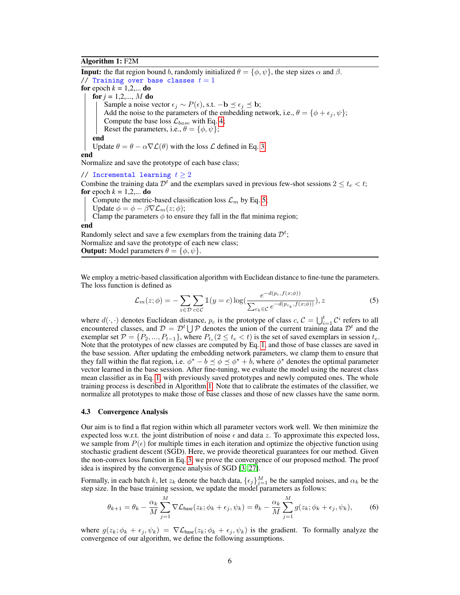## Algorithm 1: F2M

**Input:** the flat region bound b, randomly initialized  $\theta = {\phi, \psi}$ , the step sizes  $\alpha$  and  $\beta$ . // Training over base classes  $t = 1$ for epoch  $k = 1, 2, \dots$  do **for**  $j = 1, 2, ..., M$  **do** Sample a noise vector  $\epsilon_j \sim P(\epsilon)$ , s.t. −b  $\preceq \epsilon_j \preceq$  b; Add the noise to the parameters of the embedding network, i.e.,  $\theta = {\phi + \epsilon_j, \psi};$ Compute the base loss  $\mathcal{L}_{base}$  with Eq. [4;](#page-4-1) Reset the parameters, i.e.,  $\theta = {\phi, \psi}$ ; end Update  $\theta = \theta - \alpha \nabla \mathcal{L}(\theta)$  with the loss  $\mathcal L$  defined in Eq. [3.](#page-4-2) end Normalize and save the prototype of each base class; // Incremental learning  $t \geq 2$ Combine the training data  $\mathcal{D}^t$  and the exemplars saved in previous few-shot sessions  $2 \le t_e < t$ ; for epoch  $k = 1, 2, \dots$  do Compute the metric-based classification loss  $\mathcal{L}_m$  by Eq. [5;](#page-5-0) Update  $\phi = \phi - \beta \nabla \mathcal{L}_m(z; \phi);$ Clamp the parameters  $\phi$  to ensure they fall in the flat minima region;

#### end

Randomly select and save a few exemplars from the training data  $\mathcal{D}^t$ ; Normalize and save the prototype of each new class;

<span id="page-5-1"></span>**Output:** Model parameters  $\theta = {\phi, \psi}.$ 

We employ a metric-based classification algorithm with Euclidean distance to fine-tune the parameters. The loss function is defined as

<span id="page-5-0"></span>
$$
\mathcal{L}_m(z;\phi) = -\sum_{z \in \mathcal{D}} \sum_{c \in \mathcal{C}} \mathbb{1}(y=c) \log(\frac{e^{-d(p_c, f(x;\phi))}}{\sum_{c_k \in \mathcal{C}} e^{-d(p_{c_k}, f(x;\phi))}}), z
$$
(5)

where  $d(\cdot, \cdot)$  denotes Euclidean distance,  $p_c$  is the prototype of class  $c, C = \bigcup_{i=1}^{t} C^i$  refers to all encountered classes, and  $\mathcal{D} = \mathcal{D}^t \cup \mathcal{P}$  denotes the union of the current training data  $\mathcal{D}^t$  and the exemplar set  $\mathcal{P} = \{P_2, ..., P_{t-1}\}\$ , where  $P_{t_e}(2 \leq t_e < t)$  is the set of saved exemplars in session  $t_e$ . Note that the prototypes of new classes are computed by Eq. [1,](#page-2-1) and those of base classes are saved in the base session. After updating the embedding network parameters, we clamp them to ensure that they fall within the flat region, i.e.  $\phi^* - b \le \phi \le \phi^* + b$ , where  $\phi^*$  denotes the optimal parameter vector learned in the base session. After fine-tuning, we evaluate the model using the nearest class mean classifier as in Eq. [1,](#page-2-1) with previously saved prototypes and newly computed ones. The whole training process is described in Algorithm [1.](#page-5-1) Note that to calibrate the estimates of the classifier, we normalize all prototypes to make those of base classes and those of new classes have the same norm.

## <span id="page-5-2"></span>4.3 Convergence Analysis

Our aim is to find a flat region within which all parameter vectors work well. We then minimize the expected loss w.r.t. the joint distribution of noise  $\epsilon$  and data z. To approximate this expected loss, we sample from  $P(\epsilon)$  for multiple times in each iteration and optimize the objective function using stochastic gradient descent (SGD). Here, we provide theoretical guarantees for our method. Given the non-convex loss function in Eq. [3,](#page-4-2) we prove the convergence of our proposed method. The proof idea is inspired by the convergence analysis of SGD [\[3,](#page-10-13) [27\]](#page-11-12).

Formally, in each batch k, let  $z_k$  denote the batch data,  $\{\epsilon_j\}_{j=1}^M$  be the sampled noises, and  $\alpha_k$  be the step size. In the base training session, we update the model parameters as follows:

$$
\theta_{k+1} = \theta_k - \frac{\alpha_k}{M} \sum_{j=1}^{M} \nabla \mathcal{L}_{base}(z_k; \phi_k + \epsilon_j, \psi_k) = \theta_k - \frac{\alpha_k}{M} \sum_{j=1}^{M} g(z_k; \phi_k + \epsilon_j, \psi_k), \tag{6}
$$

where  $g(z_k; \phi_k + \epsilon_j, \psi_k) = \nabla \mathcal{L}_{base}(z_k; \phi_k + \epsilon_j, \psi_k)$  is the gradient. To formally analyze the convergence of our algorithm, we define the following assumptions.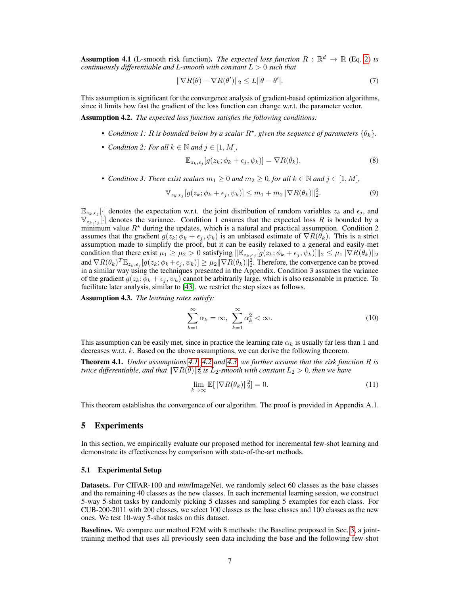<span id="page-6-1"></span>**Assumption 4.1** (L-smooth risk function). *The expected loss function*  $R : \mathbb{R}^d \to \mathbb{R}$  (Eq. [2\)](#page-4-3) *is continuously differentiable and L-smooth with constant* L > 0 *such that*

$$
\|\nabla R(\theta) - \nabla R(\theta')\|_2 \le L \|\theta - \theta'\|.\tag{7}
$$

This assumption is significant for the convergence analysis of gradient-based optimization algorithms, since it limits how fast the gradient of the loss function can change w.r.t. the parameter vector.

<span id="page-6-2"></span>Assumption 4.2. *The expected loss function satisfies the following conditions:*

- Condition 1: R is bounded below by a scalar  $R^*$ , given the sequence of parameters  $\{\theta_k\}$ .
- *Condition 2: For all*  $k \in \mathbb{N}$  *and*  $j \in [1, M]$ *,*

$$
\mathbb{E}_{z_k,\epsilon_j}[g(z_k;\phi_k+\epsilon_j,\psi_k)] = \nabla R(\theta_k). \tag{8}
$$

• *Condition 3: There exist scalars*  $m_1 \geq 0$  *and*  $m_2 \geq 0$ *, for all*  $k \in \mathbb{N}$  *and*  $j \in [1, M]$ *,* 

$$
\mathbb{V}_{z_k,\epsilon_j}[g(z_k;\phi_k+\epsilon_j,\psi_k)] \leq m_1 + m_2 \|\nabla R(\theta_k)\|_2^2. \tag{9}
$$

 $\mathbb{E}_{z_k, \epsilon_j}[\cdot]$  denotes the expectation w.r.t. the joint distribution of random variables  $z_k$  and  $\epsilon_j$ , and  $\mathbb{V}_{z_k,\epsilon_j}$ . denotes the variance. Condition 1 ensures that the expected loss R is bounded by a minimum value  $R^*$  during the updates, which is a natural and practical assumption. Condition 2 assumes that the gradient  $g(z_k; \phi_k + \epsilon_j, \psi_k)$  is an unbiased estimate of  $\nabla R(\theta_k)$ . This is a strict assumption made to simplify the proof, but it can be easily relaxed to a general and easily-met condition that there exist  $\mu_1 \ge \mu_2 > 0$  satisfying  $\|\mathbb{E}_{z_k, \epsilon_j}[g(z_k; \phi_k + \epsilon_j, \psi_k)]\|_2 \le \mu_1 \|\nabla R(\theta_k)\|_2$ and  $\nabla R(\theta_k)^T \mathbb{E}_{z_k,\epsilon_j}[g(z_k;\phi_k+\epsilon_j,\psi_k)] \geq \mu_2 \|\nabla R(\theta_k)\|_2^2$ . Therefore, the convergence can be proved in a similar way using the techniques presented in the Appendix. Condition 3 assumes the variance of the gradient  $g(z_k; \phi_k + \epsilon_i, \psi_k)$  cannot be arbitrarily large, which is also reasonable in practice. To facilitate later analysis, similar to [\[43\]](#page-12-16), we restrict the step sizes as follows.

<span id="page-6-3"></span>Assumption 4.3. *The learning rates satisfy:*

$$
\sum_{k=1}^{\infty} \alpha_k = \infty, \ \sum_{k=1}^{\infty} \alpha_k^2 < \infty. \tag{10}
$$

This assumption can be easily met, since in practice the learning rate  $\alpha_k$  is usually far less than 1 and decreases w.r.t. k. Based on the above assumptions, we can derive the following theorem.

Theorem 4.1. *Under assumptions [4.1,](#page-6-1) [4.2](#page-6-2) and [4.3,](#page-6-3) we further assume that the risk function* R *is twice differentiable, and that*  $\|\nabla R(\theta)\|_2^2$  *is*  $L_2$ *-smooth with constant*  $L_2 > 0$ *, then we have* 

$$
\lim_{k \to \infty} \mathbb{E}[\|\nabla R(\theta_k)\|_2^2] = 0.
$$
\n(11)

This theorem establishes the convergence of our algorithm. The proof is provided in Appendix A.1.

## <span id="page-6-0"></span>5 Experiments

In this section, we empirically evaluate our proposed method for incremental few-shot learning and demonstrate its effectiveness by comparison with state-of-the-art methods.

#### <span id="page-6-4"></span>5.1 Experimental Setup

Datasets. For CIFAR-100 and *mini*ImageNet, we randomly select 60 classes as the base classes and the remaining 40 classes as the new classes. In each incremental learning session, we construct 5-way 5-shot tasks by randomly picking 5 classes and sampling 5 examples for each class. For CUB-200-2011 with 200 classes, we select 100 classes as the base classes and 100 classes as the new ones. We test 10-way 5-shot tasks on this dataset.

Baselines. We compare our method F2M with 8 methods: the Baseline proposed in Sec. [3,](#page-2-0) a jointtraining method that uses all previously seen data including the base and the following few-shot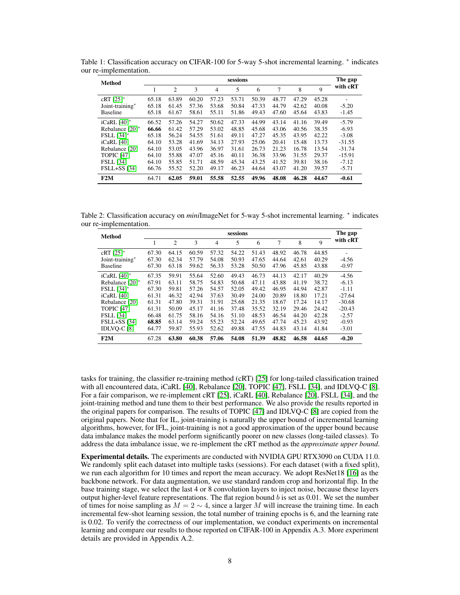<span id="page-7-0"></span>

| Method                    | sessions |                |       |       |       |       |       |       |       |          |  |  |
|---------------------------|----------|----------------|-------|-------|-------|-------|-------|-------|-------|----------|--|--|
|                           |          | $\overline{2}$ | 3     | 4     | 5     | 6     | 7     | 8     | 9     | with cRT |  |  |
| $cRT$ [25]*               | 65.18    | 63.89          | 60.20 | 57.23 | 53.71 | 50.39 | 48.77 | 47.29 | 45.28 |          |  |  |
| Joint-training*           | 65.18    | 61.45          | 57.36 | 53.68 | 50.84 | 47.33 | 44.79 | 42.62 | 40.08 | $-5.20$  |  |  |
| <b>Baseline</b>           | 65.18    | 61.67          | 58.61 | 55.11 | 51.86 | 49.43 | 47.60 | 45.64 | 43.83 | $-1.45$  |  |  |
| iCaRL $[40]$ <sup>*</sup> | 66.52    | 57.26          | 54.27 | 50.62 | 47.33 | 44.99 | 43.14 | 41.16 | 39.49 | $-5.79$  |  |  |
| Rebalance [20]*           | 66.66    | 61.42          | 57.29 | 53.02 | 48.85 | 45.68 | 43.06 | 40.56 | 38.35 | $-6.93$  |  |  |
| <b>FSLL</b> [34]*         | 65.18    | 56.24          | 54.55 | 51.61 | 49.11 | 47.27 | 45.35 | 43.95 | 42.22 | $-3.08$  |  |  |
| iCaRL [40]                | 64.10    | 53.28          | 41.69 | 34.13 | 27.93 | 25.06 | 20.41 | 15.48 | 13.73 | $-31.55$ |  |  |
| Rebalance [20]            | 64.10    | 53.05          | 43.96 | 36.97 | 31.61 | 26.73 | 21.23 | 16.78 | 13.54 | $-31.74$ |  |  |
| <b>TOPIC [47]</b>         | 64.10    | 55.88          | 47.07 | 45.16 | 40.11 | 36.38 | 33.96 | 31.55 | 29.37 | $-15.91$ |  |  |
| <b>FSLL</b> [34]          | 64.10    | 55.85          | 51.71 | 48.59 | 45.34 | 43.25 | 41.52 | 39.81 | 38.16 | $-7.12$  |  |  |
| <b>FSLL+SS</b> [34]       | 66.76    | 55.52          | 52.20 | 49.17 | 46.23 | 44.64 | 43.07 | 41.20 | 39.57 | $-5.71$  |  |  |
| F2M                       | 64.71    | 62.05          | 59.01 | 55.58 | 52.55 | 49.96 | 48.08 | 46.28 | 44.67 | $-0.61$  |  |  |

Table 1: Classification accuracy on CIFAR-100 for 5-way 5-shot incremental learning. <sup>\*</sup> indicates our re-implementation.

Table 2: Classification accuracy on *minilmageNet for 5*-way 5-shot incremental learning. <sup>∗</sup> indicates our re-implementation.

<span id="page-7-1"></span>

| <b>Method</b>             | sessions |       |       |       |       |       |       |       |       |          |  |  |
|---------------------------|----------|-------|-------|-------|-------|-------|-------|-------|-------|----------|--|--|
|                           | 1        | 2     | 3     | 4     | 5     | 6     | 7     | 8     | 9     | with cRT |  |  |
| $cRT$ [25]*               | 67.30    | 64.15 | 60.59 | 57.32 | 54.22 | 51.43 | 48.92 | 46.78 | 44.85 |          |  |  |
| Joint-training*           | 67.30    | 62.34 | 57.79 | 54.08 | 50.93 | 47.65 | 44.64 | 42.61 | 40.29 | $-4.56$  |  |  |
| <b>Baseline</b>           | 67.30    | 63.18 | 59.62 | 56.33 | 53.28 | 50.50 | 47.96 | 45.85 | 43.88 | $-0.97$  |  |  |
| iCaRL $[40]$ <sup>*</sup> | 67.35    | 59.91 | 55.64 | 52.60 | 49.43 | 46.73 | 44.13 | 42.17 | 40.29 | $-4.56$  |  |  |
| Rebalance [20]*           | 67.91    | 63.11 | 58.75 | 54.83 | 50.68 | 47.11 | 43.88 | 41.19 | 38.72 | $-6.13$  |  |  |
| <b>FSLL</b> [34]*         | 67.30    | 59.81 | 57.26 | 54.57 | 52.05 | 49.42 | 46.95 | 44.94 | 42.87 | $-1.11$  |  |  |
| iCaRL [40]                | 61.31    | 46.32 | 42.94 | 37.63 | 30.49 | 24.00 | 20.89 | 18.80 | 17.21 | $-27.64$ |  |  |
| Rebalance [20]            | 61.31    | 47.80 | 39.31 | 31.91 | 25.68 | 21.35 | 18.67 | 17.24 | 14.17 | $-30.68$ |  |  |
| <b>TOPIC [47]</b>         | 61.31    | 50.09 | 45.17 | 41.16 | 37.48 | 35.52 | 32.19 | 29.46 | 24.42 | $-20.43$ |  |  |
| <b>FSLL</b> [34]          | 66.48    | 61.75 | 58.16 | 54.16 | 51.10 | 48.53 | 46.54 | 44.20 | 42.28 | $-2.57$  |  |  |
| <b>FSLL+SS</b> [34]       | 68.85    | 63.14 | 59.24 | 55.23 | 52.24 | 49.65 | 47.74 | 45.23 | 43.92 | $-0.93$  |  |  |
| IDLVO-C [8]               | 64.77    | 59.87 | 55.93 | 52.62 | 49.88 | 47.55 | 44.83 | 43.14 | 41.84 | $-3.01$  |  |  |
| F2M                       | 67.28    | 63.80 | 60.38 | 57.06 | 54.08 | 51.39 | 48.82 | 46.58 | 44.65 | $-0.20$  |  |  |

tasks for training, the classifier re-training method (cRT) [\[25\]](#page-11-13) for long-tailed classification trained with all encountered data, iCaRL [\[40\]](#page-12-1), Rebalance [\[20\]](#page-11-3), TOPIC [\[47\]](#page-12-3), FSLL [\[34\]](#page-12-5), and IDLVQ-C [\[8\]](#page-10-3). For a fair comparison, we re-implement cRT [\[25\]](#page-11-13), iCaRL [\[40\]](#page-12-1), Rebalance [\[20\]](#page-11-3), FSLL [\[34\]](#page-12-5), and the joint-training method and tune them to their best performance. We also provide the results reported in the original papers for comparison. The results of TOPIC [\[47\]](#page-12-3) and IDLVQ-C [\[8\]](#page-10-3) are copied from the original papers. Note that for IL, joint-training is naturally the upper bound of incremental learning algorithms, however, for IFL, joint-training is not a good approximation of the upper bound because data imbalance makes the model perform significantly poorer on new classes (long-tailed classes). To address the data imbalance issue, we re-implement the cRT method as the *approximate upper bound*.

Experimental details. The experiments are conducted with NVIDIA GPU RTX3090 on CUDA 11.0. We randomly split each dataset into multiple tasks (sessions). For each dataset (with a fixed split), we run each algorithm for 10 times and report the mean accuracy. We adopt ResNet18 [\[16\]](#page-11-14) as the backbone network. For data augmentation, we use standard random crop and horizontal flip. In the base training stage, we select the last 4 or 8 convolution layers to inject noise, because these layers output higher-level feature representations. The flat region bound  $b$  is set as 0.01. We set the number of times for noise sampling as  $M = 2 \sim 4$ , since a larger M will increase the training time. In each incremental few-shot learning session, the total number of training epochs is 6, and the learning rate is 0.02. To verify the correctness of our implementation, we conduct experiments on incremental learning and compare our results to those reported on CIFAR-100 in Appendix A.3. More experiment details are provided in Appendix A.2.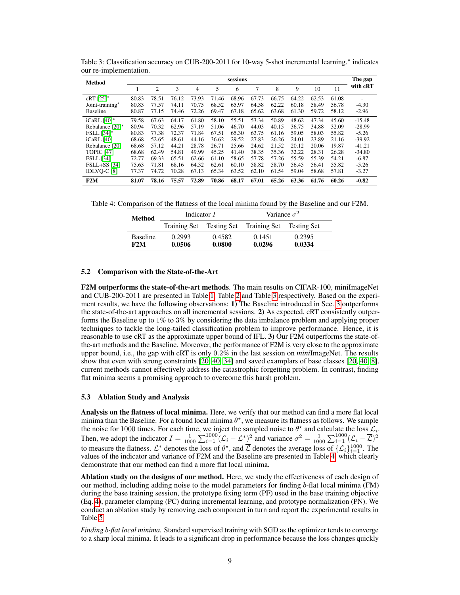| Method                    | sessions |                |       |       |       |       |       |       |       |       |       |                |
|---------------------------|----------|----------------|-------|-------|-------|-------|-------|-------|-------|-------|-------|----------------|
|                           |          | $\overline{c}$ | 3     | 4     | 5     | 6     | 7     | 8     | 9     | 10    | 11    | with cRT       |
| $cRT$ [25]*               | 80.83    | 78.51          | 76.12 | 73.93 | 71.46 | 68.96 | 67.73 | 66.75 | 64.22 | 62.53 | 61.08 | $\overline{a}$ |
| Joint-training*           | 80.83    | 77.57          | 74.11 | 70.75 | 68.52 | 65.97 | 64.58 | 62.22 | 60.18 | 58.49 | 56.78 | $-4.30$        |
| <b>Baseline</b>           | 80.87    | 77.15          | 74.46 | 72.26 | 69.47 | 67.18 | 65.62 | 63.68 | 61.30 | 59.72 | 58.12 | $-2.96$        |
| iCaRL $[40]$ <sup>*</sup> | 79.58    | 67.63          | 64.17 | 61.80 | 58.10 | 55.51 | 53.34 | 50.89 | 48.62 | 47.34 | 45.60 | $-15.48$       |
| Rebalance [20]*           | 80.94    | 70.32          | 62.96 | 57.19 | 51.06 | 46.70 | 44.03 | 40.15 | 36.75 | 34.88 | 32.09 | $-28.99$       |
| <b>FSLL</b> [34]*         | 80.83    | 77.38          | 72.37 | 71.84 | 67.51 | 65.30 | 63.75 | 61.16 | 59.05 | 58.03 | 55.82 | $-5.26$        |
| iCaRL [40]                | 68.68    | 52.65          | 48.61 | 44.16 | 36.62 | 29.52 | 27.83 | 26.26 | 24.01 | 23.89 | 21.16 | $-39.92$       |
| Rebalance [20]            | 68.68    | 57.12          | 44.21 | 28.78 | 26.71 | 25.66 | 24.62 | 21.52 | 20.12 | 20.06 | 19.87 | $-41.21$       |
| <b>TOPIC</b> [47]         | 68.68    | 62.49          | 54.81 | 49.99 | 45.25 | 41.40 | 38.35 | 35.36 | 32.22 | 28.31 | 26.28 | $-34.80$       |
| <b>FSLL</b> [34]          | 72.77    | 69.33          | 65.51 | 62.66 | 61.10 | 58.65 | 57.78 | 57.26 | 55.59 | 55.39 | 54.21 | $-6.87$        |
| $FSLL+SS$ [34]            | 75.63    | 71.81          | 68.16 | 64.32 | 62.61 | 60.10 | 58.82 | 58.70 | 56.45 | 56.41 | 55.82 | $-5.26$        |
| IDLVO-C [8]               | 77.37    | 74.72          | 70.28 | 67.13 | 65.34 | 63.52 | 62.10 | 61.54 | 59.04 | 58.68 | 57.81 | $-3.27$        |
| F2M                       | 81.07    | 78.16          | 75.57 | 72.89 | 70.86 | 68.17 | 67.01 | 65.26 | 63.36 | 61.76 | 60.26 | $-0.82$        |

<span id="page-8-0"></span>Table 3: Classification accuracy on CUB-200-2011 for 10-way 5-shot incremental learning.<sup>∗</sup> indicates our re-implementation.

Table 4: Comparison of the flatness of the local minima found by the Baseline and our F2M.

<span id="page-8-1"></span>

| <b>Method</b> | Indicator <i>I</i>     |                  | Variance $\sigma^2$ |                                                   |                  |  |
|---------------|------------------------|------------------|---------------------|---------------------------------------------------|------------------|--|
|               |                        |                  |                     | Training Set Testing Set Training Set Testing Set |                  |  |
|               | <b>Baseline</b><br>F2M | 0.2993<br>0.0506 | 0.4582<br>0.0800    | 0.1451<br>0.0296                                  | 0.2395<br>0.0334 |  |

#### 5.2 Comparison with the State-of-the-Art

F2M outperforms the state-of-the-art methods. The main results on CIFAR-100, miniImageNet and CUB-200-2011 are presented in Table [1,](#page-7-0) Table [2](#page-7-1) and Table [3](#page-8-0) respectively. Based on the experiment results, we have the following observations: 1) The Baseline introduced in Sec. [3](#page-2-0) outperforms the state-of-the-art approaches on all incremental sessions. 2) As expected, cRT consistently outperforms the Baseline up to 1% to 3% by considering the data imbalance problem and applying proper techniques to tackle the long-tailed classification problem to improve performance. Hence, it is reasonable to use cRT as the approximate upper bound of IFL. 3) Our F2M outperforms the state-ofthe-art methods and the Baseline. Moreover, the performance of F2M is very close to the approximate upper bound, i.e., the gap with cRT is only 0.2% in the last session on *mini*ImageNet. The results show that even with strong constraints [\[20,](#page-11-3) [40,](#page-12-1) [34\]](#page-12-5) and saved examplars of base classes [\[20,](#page-11-3) [40,](#page-12-1) [8\]](#page-10-3), current methods cannot effectively address the catastrophic forgetting problem. In contrast, finding flat minima seems a promising approach to overcome this harsh problem.

#### 5.3 Ablation Study and Analysis

Analysis on the flatness of local minima. Here, we verify that our method can find a more flat local minima than the Baseline. For a found local minima  $\theta^*$ , we measure its flatness as follows. We sample the noise for 1000 times. For each time, we inject the sampled noise to  $\theta^*$  and calculate the loss  $\mathcal{L}_i$ . Then, we adopt the indicator  $I = \frac{1}{1000} \sum_{i=1}^{1000} (\mathcal{L}_i - \mathcal{L}^*)^2$  and variance  $\sigma^2 = \frac{1}{1000} \sum_{i=1}^{1000} (\mathcal{L}_i - \overline{\mathcal{L}})^2$ to measure the flatness.  $\mathcal{L}^*$  denotes the loss of  $\theta^*$ , and  $\overline{\mathcal{L}}$  denotes the average loss of  $\{\mathcal{L}_i\}_{i=1}^{1000}$ . The values of the indicator and variance of F2M and the Baseline are presented in Table [4,](#page-8-1) which clearly demonstrate that our method can find a more flat local minima.

Ablation study on the designs of our method. Here, we study the effectiveness of each design of our method, including adding noise to the model parameters for finding b-flat local minima (FM) during the base training session, the prototype fixing term (PF) used in the base training objective (Eq. [4\)](#page-4-1), parameter clamping (PC) during incremental learning, and prototype normalization (PN). We conduct an ablation study by removing each component in turn and report the experimental results in Table [5.](#page-9-0)

*Finding* b*-flat local minima.* Standard supervised training with SGD as the optimizer tends to converge to a sharp local minima. It leads to a significant drop in performance because the loss changes quickly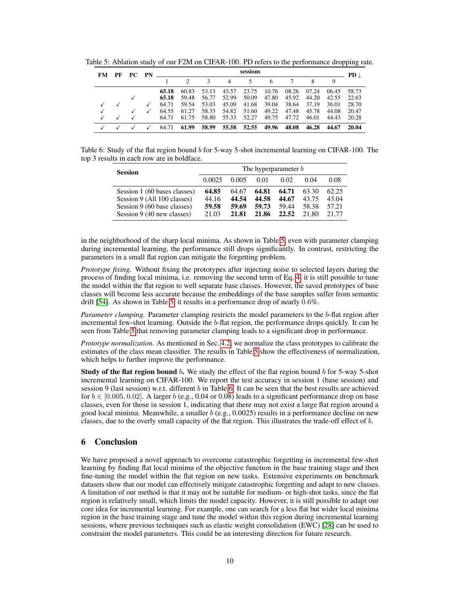<span id="page-9-0"></span>

| FM | PF | PC. | sessions<br><b>PN</b> |       |       |               |       |             |       |       |       | $PD \downarrow$ |       |
|----|----|-----|-----------------------|-------|-------|---------------|-------|-------------|-------|-------|-------|-----------------|-------|
|    |    |     |                       |       |       | $\mathcal{R}$ | 4     | 5.          | 6     | 7     | 8     |                 |       |
|    |    |     |                       | 65.18 | 60.83 | 53.13         | 43.57 | 23.75       | 10.76 | 08.26 | 07.24 | 06.45           | 58.73 |
|    |    |     |                       | 65.18 | 59.48 | 56.77         | 52.99 | 50.09       | 47.80 | 45.92 | 44.20 | 42.55           | 22.63 |
|    |    |     |                       | 64.71 | 59.54 | 53.03         | 45.09 | 41.68       | 39.04 | 38.64 | 37.19 | 36.01           | 28.70 |
|    |    |     |                       | 64.55 | 61.27 | 58.33         | 54.82 | 51.60       | 49.22 | 47.48 | 45.78 | 44.08           | 20.47 |
|    |    |     |                       | 64.71 | 61.75 | 58.80         | 55.33 | 52.27       | 49.75 | 47.72 | 46.01 | 44.43           | 20.28 |
|    |    |     |                       | 64.71 | 61.99 | 58.99         |       | 55.58 52.55 | 49.96 | 48.08 | 46.28 | 44.67           | 20.04 |

Table 5: Ablation study of our F2M on CIFAR-100. PD refers to the performance dropping rate.

Table 6: Study of the flat region bound b for 5-way 5-shot incremental learning on CIFAR-100. The top 3 results in each row are in boldface.

<span id="page-9-1"></span>

| <b>Session</b>                                                                                                           | The hyperparameter b             |                                  |                                  |                                  |                                  |                                  |  |  |  |  |
|--------------------------------------------------------------------------------------------------------------------------|----------------------------------|----------------------------------|----------------------------------|----------------------------------|----------------------------------|----------------------------------|--|--|--|--|
|                                                                                                                          | 0.0025                           | 0.005                            | 0.01                             | 0.02                             | 0.04                             | 0.08                             |  |  |  |  |
| Session 1 (60 bases classes)<br>Session 9 (All 100 classes)<br>Session 9 (60 base classes)<br>Session 9 (40 new classes) | 64.85<br>44.16<br>59.58<br>21.03 | 64.67<br>44.54<br>59.69<br>21.81 | 64.81<br>44.58<br>59.73<br>21.86 | 64.71<br>44.67<br>59.44<br>22.52 | 63.30<br>43.75<br>58.38<br>21.80 | 62.25<br>43.04<br>57.21<br>21.77 |  |  |  |  |

in the neighborhood of the sharp local minima. As shown in Table [5,](#page-9-0) even with parameter clamping during incremental learning, the performance still drops significantly. In contrast, restricting the parameters in a small flat region can mitigate the forgetting problem.

*Prototype fixing.* Without fixing the prototypes after injecting noise to selected layers during the process of finding local minima, i.e. removing the second term of Eq. [4,](#page-4-1) it is still possible to tune the model within the flat region to well separate base classes. However, the saved prototypes of base classes will become less accurate because the embeddings of the base samples suffer from semantic drift [\[54\]](#page-13-11). As shown in Table [5,](#page-9-0) it results in a performance drop of nearly 0.6%.

*Parameter clamping.* Parameter clamping restricts the model parameters to the b-flat region after incremental few-shot learning. Outside the b-flat region, the performance drops quickly. It can be seen from Table [5](#page-9-0) that removing parameter clamping leads to a significant drop in performance.

*Prototype normalization.* As mentioned in Sec. [4.2,](#page-4-4) we normalize the class prototypes to calibrate the estimates of the class mean classifier. The results in Table [5](#page-9-0) show the effectiveness of normalization, which helps to further improve the performance.

**Study of the flat region bound b.** We study the effect of the flat region bound b for 5-way 5-shot incremental learning on CIFAR-100. We report the test accuracy in session 1 (base session) and session 9 (last session) w.r.t. different b in Table [6.](#page-9-1) It can be seen that the best results are achieved for  $b \in [0.005, 0.02]$ . A larger b (e.g., 0.04 or 0.08) leads to a significant performance drop on base classes, even for those in session 1, indicating that there may not exist a large flat region around a good local minima. Meanwhile, a smaller  $b$  (e.g., 0.0025) results in a performance decline on new classes, due to the overly small capacity of the flat region. This illustrates the trade-off effect of b.

# <span id="page-9-2"></span>6 Conclusion

We have proposed a novel approach to overcome catastrophic forgetting in incremental few-shot learning by finding flat local minima of the objective function in the base training stage and then fine-tuning the model within the flat region on new tasks. Extensive experiments on benchmark datasets show that our model can effectively mitigate catastrophic forgetting and adapt to new classes. A limitation of our method is that it may not be suitable for medium- or high-shot tasks, since the flat region is relatively small, which limits the model capacity. However, it is still possible to adapt our core idea for incremental learning. For example, one can search for a less flat but wider local minima region in the base training stage and tune the model within this region during incremental learning sessions, where previous techniques such as elastic weight consolidation (EWC) [\[28\]](#page-11-2) can be used to constraint the model parameters. This could be an interesting direction for future research.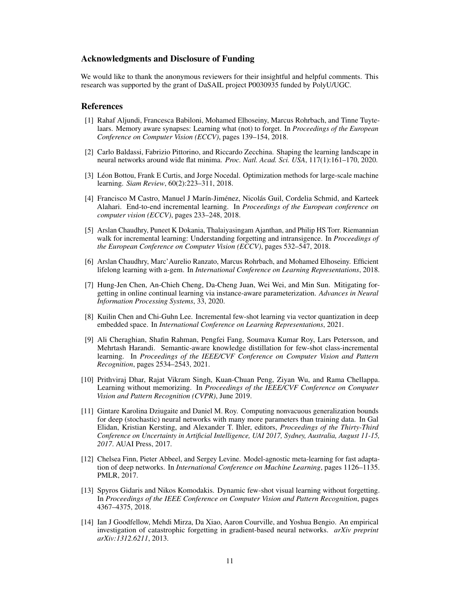## Acknowledgments and Disclosure of Funding

We would like to thank the anonymous reviewers for their insightful and helpful comments. This research was supported by the grant of DaSAIL project P0030935 funded by PolyU/UGC.

## References

- <span id="page-10-10"></span>[1] Rahaf Aljundi, Francesca Babiloni, Mohamed Elhoseiny, Marcus Rohrbach, and Tinne Tuytelaars. Memory aware synapses: Learning what (not) to forget. In *Proceedings of the European Conference on Computer Vision (ECCV)*, pages 139–154, 2018.
- <span id="page-10-11"></span>[2] Carlo Baldassi, Fabrizio Pittorino, and Riccardo Zecchina. Shaping the learning landscape in neural networks around wide flat minima. *Proc. Natl. Acad. Sci. USA*, 117(1):161–170, 2020.
- <span id="page-10-13"></span>[3] Léon Bottou, Frank E Curtis, and Jorge Nocedal. Optimization methods for large-scale machine learning. *Siam Review*, 60(2):223–311, 2018.
- <span id="page-10-4"></span>[4] Francisco M Castro, Manuel J Marín-Jiménez, Nicolás Guil, Cordelia Schmid, and Karteek Alahari. End-to-end incremental learning. In *Proceedings of the European conference on computer vision (ECCV)*, pages 233–248, 2018.
- <span id="page-10-0"></span>[5] Arslan Chaudhry, Puneet K Dokania, Thalaiyasingam Ajanthan, and Philip HS Torr. Riemannian walk for incremental learning: Understanding forgetting and intransigence. In *Proceedings of the European Conference on Computer Vision (ECCV)*, pages 532–547, 2018.
- <span id="page-10-7"></span>[6] Arslan Chaudhry, Marc'Aurelio Ranzato, Marcus Rohrbach, and Mohamed Elhoseiny. Efficient lifelong learning with a-gem. In *International Conference on Learning Representations*, 2018.
- <span id="page-10-8"></span>[7] Hung-Jen Chen, An-Chieh Cheng, Da-Cheng Juan, Wei Wei, and Min Sun. Mitigating forgetting in online continual learning via instance-aware parameterization. *Advances in Neural Information Processing Systems*, 33, 2020.
- <span id="page-10-3"></span>[8] Kuilin Chen and Chi-Guhn Lee. Incremental few-shot learning via vector quantization in deep embedded space. In *International Conference on Learning Representations*, 2021.
- <span id="page-10-2"></span>[9] Ali Cheraghian, Shafin Rahman, Pengfei Fang, Soumava Kumar Roy, Lars Petersson, and Mehrtash Harandi. Semantic-aware knowledge distillation for few-shot class-incremental learning. In *Proceedings of the IEEE/CVF Conference on Computer Vision and Pattern Recognition*, pages 2534–2543, 2021.
- <span id="page-10-9"></span>[10] Prithviraj Dhar, Rajat Vikram Singh, Kuan-Chuan Peng, Ziyan Wu, and Rama Chellappa. Learning without memorizing. In *Proceedings of the IEEE/CVF Conference on Computer Vision and Pattern Recognition (CVPR)*, June 2019.
- <span id="page-10-12"></span>[11] Gintare Karolina Dziugaite and Daniel M. Roy. Computing nonvacuous generalization bounds for deep (stochastic) neural networks with many more parameters than training data. In Gal Elidan, Kristian Kersting, and Alexander T. Ihler, editors, *Proceedings of the Thirty-Third Conference on Uncertainty in Artificial Intelligence, UAI 2017, Sydney, Australia, August 11-15, 2017*. AUAI Press, 2017.
- <span id="page-10-5"></span>[12] Chelsea Finn, Pieter Abbeel, and Sergey Levine. Model-agnostic meta-learning for fast adaptation of deep networks. In *International Conference on Machine Learning*, pages 1126–1135. PMLR, 2017.
- <span id="page-10-6"></span>[13] Spyros Gidaris and Nikos Komodakis. Dynamic few-shot visual learning without forgetting. In *Proceedings of the IEEE Conference on Computer Vision and Pattern Recognition*, pages 4367–4375, 2018.
- <span id="page-10-1"></span>[14] Ian J Goodfellow, Mehdi Mirza, Da Xiao, Aaron Courville, and Yoshua Bengio. An empirical investigation of catastrophic forgetting in gradient-based neural networks. *arXiv preprint arXiv:1312.6211*, 2013.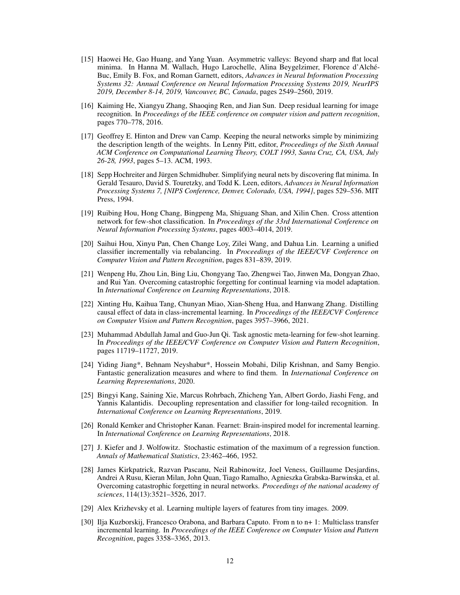- <span id="page-11-11"></span>[15] Haowei He, Gao Huang, and Yang Yuan. Asymmetric valleys: Beyond sharp and flat local minima. In Hanna M. Wallach, Hugo Larochelle, Alina Beygelzimer, Florence d'Alché-Buc, Emily B. Fox, and Roman Garnett, editors, *Advances in Neural Information Processing Systems 32: Annual Conference on Neural Information Processing Systems 2019, NeurIPS 2019, December 8-14, 2019, Vancouver, BC, Canada*, pages 2549–2560, 2019.
- <span id="page-11-14"></span>[16] Kaiming He, Xiangyu Zhang, Shaoqing Ren, and Jian Sun. Deep residual learning for image recognition. In *Proceedings of the IEEE conference on computer vision and pattern recognition*, pages 770–778, 2016.
- <span id="page-11-9"></span>[17] Geoffrey E. Hinton and Drew van Camp. Keeping the neural networks simple by minimizing the description length of the weights. In Lenny Pitt, editor, *Proceedings of the Sixth Annual ACM Conference on Computational Learning Theory, COLT 1993, Santa Cruz, CA, USA, July 26-28, 1993*, pages 5–13. ACM, 1993.
- <span id="page-11-8"></span>[18] Sepp Hochreiter and Jürgen Schmidhuber. Simplifying neural nets by discovering flat minima. In Gerald Tesauro, David S. Touretzky, and Todd K. Leen, editors, *Advances in Neural Information Processing Systems 7, [NIPS Conference, Denver, Colorado, USA, 1994]*, pages 529–536. MIT Press, 1994.
- <span id="page-11-5"></span>[19] Ruibing Hou, Hong Chang, Bingpeng Ma, Shiguang Shan, and Xilin Chen. Cross attention network for few-shot classification. In *Proceedings of the 33rd International Conference on Neural Information Processing Systems*, pages 4003–4014, 2019.
- <span id="page-11-3"></span>[20] Saihui Hou, Xinyu Pan, Chen Change Loy, Zilei Wang, and Dahua Lin. Learning a unified classifier incrementally via rebalancing. In *Proceedings of the IEEE/CVF Conference on Computer Vision and Pattern Recognition*, pages 831–839, 2019.
- <span id="page-11-7"></span>[21] Wenpeng Hu, Zhou Lin, Bing Liu, Chongyang Tao, Zhengwei Tao, Jinwen Ma, Dongyan Zhao, and Rui Yan. Overcoming catastrophic forgetting for continual learning via model adaptation. In *International Conference on Learning Representations*, 2018.
- <span id="page-11-6"></span>[22] Xinting Hu, Kaihua Tang, Chunyan Miao, Xian-Sheng Hua, and Hanwang Zhang. Distilling causal effect of data in class-incremental learning. In *Proceedings of the IEEE/CVF Conference on Computer Vision and Pattern Recognition*, pages 3957–3966, 2021.
- <span id="page-11-4"></span>[23] Muhammad Abdullah Jamal and Guo-Jun Qi. Task agnostic meta-learning for few-shot learning. In *Proceedings of the IEEE/CVF Conference on Computer Vision and Pattern Recognition*, pages 11719–11727, 2019.
- <span id="page-11-10"></span>[24] Yiding Jiang\*, Behnam Neyshabur\*, Hossein Mobahi, Dilip Krishnan, and Samy Bengio. Fantastic generalization measures and where to find them. In *International Conference on Learning Representations*, 2020.
- <span id="page-11-13"></span>[25] Bingyi Kang, Saining Xie, Marcus Rohrbach, Zhicheng Yan, Albert Gordo, Jiashi Feng, and Yannis Kalantidis. Decoupling representation and classifier for long-tailed recognition. In *International Conference on Learning Representations*, 2019.
- <span id="page-11-1"></span>[26] Ronald Kemker and Christopher Kanan. Fearnet: Brain-inspired model for incremental learning. In *International Conference on Learning Representations*, 2018.
- <span id="page-11-12"></span>[27] J. Kiefer and J. Wolfowitz. Stochastic estimation of the maximum of a regression function. *Annals of Mathematical Statistics*, 23:462–466, 1952.
- <span id="page-11-2"></span>[28] James Kirkpatrick, Razvan Pascanu, Neil Rabinowitz, Joel Veness, Guillaume Desjardins, Andrei A Rusu, Kieran Milan, John Quan, Tiago Ramalho, Agnieszka Grabska-Barwinska, et al. Overcoming catastrophic forgetting in neural networks. *Proceedings of the national academy of sciences*, 114(13):3521–3526, 2017.
- <span id="page-11-15"></span>[29] Alex Krizhevsky et al. Learning multiple layers of features from tiny images. 2009.
- <span id="page-11-0"></span>[30] Ilja Kuzborskij, Francesco Orabona, and Barbara Caputo. From n to n+ 1: Multiclass transfer incremental learning. In *Proceedings of the IEEE Conference on Computer Vision and Pattern Recognition*, pages 3358–3365, 2013.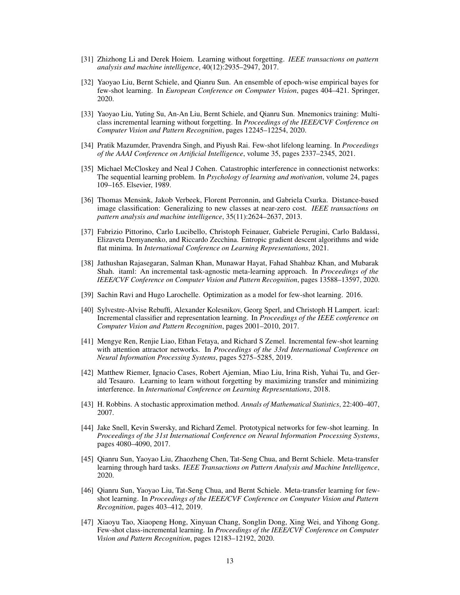- <span id="page-12-0"></span>[31] Zhizhong Li and Derek Hoiem. Learning without forgetting. *IEEE transactions on pattern analysis and machine intelligence*, 40(12):2935–2947, 2017.
- <span id="page-12-6"></span>[32] Yaoyao Liu, Bernt Schiele, and Qianru Sun. An ensemble of epoch-wise empirical bayes for few-shot learning. In *European Conference on Computer Vision*, pages 404–421. Springer, 2020.
- <span id="page-12-12"></span>[33] Yaoyao Liu, Yuting Su, An-An Liu, Bernt Schiele, and Qianru Sun. Mnemonics training: Multiclass incremental learning without forgetting. In *Proceedings of the IEEE/CVF Conference on Computer Vision and Pattern Recognition*, pages 12245–12254, 2020.
- <span id="page-12-5"></span>[34] Pratik Mazumder, Pravendra Singh, and Piyush Rai. Few-shot lifelong learning. In *Proceedings of the AAAI Conference on Artificial Intelligence*, volume 35, pages 2337–2345, 2021.
- <span id="page-12-2"></span>[35] Michael McCloskey and Neal J Cohen. Catastrophic interference in connectionist networks: The sequential learning problem. In *Psychology of learning and motivation*, volume 24, pages 109–165. Elsevier, 1989.
- <span id="page-12-15"></span>[36] Thomas Mensink, Jakob Verbeek, Florent Perronnin, and Gabriela Csurka. Distance-based image classification: Generalizing to new classes at near-zero cost. *IEEE transactions on pattern analysis and machine intelligence*, 35(11):2624–2637, 2013.
- <span id="page-12-14"></span>[37] Fabrizio Pittorino, Carlo Lucibello, Christoph Feinauer, Gabriele Perugini, Carlo Baldassi, Elizaveta Demyanenko, and Riccardo Zecchina. Entropic gradient descent algorithms and wide flat minima. In *International Conference on Learning Representations*, 2021.
- <span id="page-12-11"></span>[38] Jathushan Rajasegaran, Salman Khan, Munawar Hayat, Fahad Shahbaz Khan, and Mubarak Shah. itaml: An incremental task-agnostic meta-learning approach. In *Proceedings of the IEEE/CVF Conference on Computer Vision and Pattern Recognition*, pages 13588–13597, 2020.
- <span id="page-12-7"></span>[39] Sachin Ravi and Hugo Larochelle. Optimization as a model for few-shot learning. 2016.
- <span id="page-12-1"></span>[40] Sylvestre-Alvise Rebuffi, Alexander Kolesnikov, Georg Sperl, and Christoph H Lampert. icarl: Incremental classifier and representation learning. In *Proceedings of the IEEE conference on Computer Vision and Pattern Recognition*, pages 2001–2010, 2017.
- <span id="page-12-4"></span>[41] Mengye Ren, Renjie Liao, Ethan Fetaya, and Richard S Zemel. Incremental few-shot learning with attention attractor networks. In *Proceedings of the 33rd International Conference on Neural Information Processing Systems*, pages 5275–5285, 2019.
- <span id="page-12-13"></span>[42] Matthew Riemer, Ignacio Cases, Robert Ajemian, Miao Liu, Irina Rish, Yuhai Tu, and Gerald Tesauro. Learning to learn without forgetting by maximizing transfer and minimizing interference. In *International Conference on Learning Representations*, 2018.
- <span id="page-12-16"></span>[43] H. Robbins. A stochastic approximation method. *Annals of Mathematical Statistics*, 22:400–407, 2007.
- <span id="page-12-10"></span>[44] Jake Snell, Kevin Swersky, and Richard Zemel. Prototypical networks for few-shot learning. In *Proceedings of the 31st International Conference on Neural Information Processing Systems*, pages 4080–4090, 2017.
- <span id="page-12-8"></span>[45] Qianru Sun, Yaoyao Liu, Zhaozheng Chen, Tat-Seng Chua, and Bernt Schiele. Meta-transfer learning through hard tasks. *IEEE Transactions on Pattern Analysis and Machine Intelligence*, 2020.
- <span id="page-12-9"></span>[46] Qianru Sun, Yaoyao Liu, Tat-Seng Chua, and Bernt Schiele. Meta-transfer learning for fewshot learning. In *Proceedings of the IEEE/CVF Conference on Computer Vision and Pattern Recognition*, pages 403–412, 2019.
- <span id="page-12-3"></span>[47] Xiaoyu Tao, Xiaopeng Hong, Xinyuan Chang, Songlin Dong, Xing Wei, and Yihong Gong. Few-shot class-incremental learning. In *Proceedings of the IEEE/CVF Conference on Computer Vision and Pattern Recognition*, pages 12183–12192, 2020.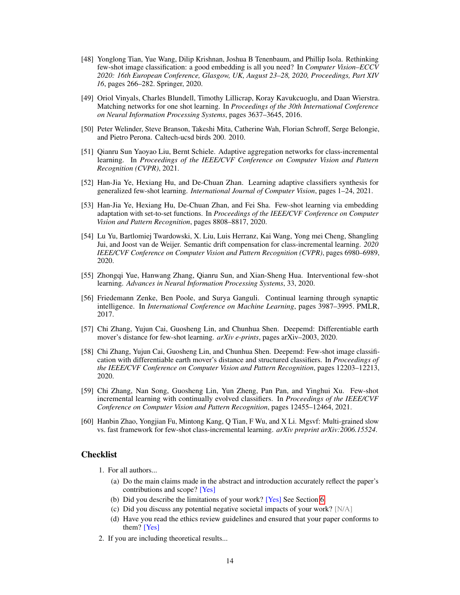- <span id="page-13-9"></span>[48] Yonglong Tian, Yue Wang, Dilip Krishnan, Joshua B Tenenbaum, and Phillip Isola. Rethinking few-shot image classification: a good embedding is all you need? In *Computer Vision–ECCV 2020: 16th European Conference, Glasgow, UK, August 23–28, 2020, Proceedings, Part XIV 16*, pages 266–282. Springer, 2020.
- <span id="page-13-4"></span>[49] Oriol Vinyals, Charles Blundell, Timothy Lillicrap, Koray Kavukcuoglu, and Daan Wierstra. Matching networks for one shot learning. In *Proceedings of the 30th International Conference on Neural Information Processing Systems*, pages 3637–3645, 2016.
- <span id="page-13-12"></span>[50] Peter Welinder, Steve Branson, Takeshi Mita, Catherine Wah, Florian Schroff, Serge Belongie, and Pietro Perona. Caltech-ucsd birds 200. 2010.
- <span id="page-13-10"></span>[51] Qianru Sun Yaoyao Liu, Bernt Schiele. Adaptive aggregation networks for class-incremental learning. In *Proceedings of the IEEE/CVF Conference on Computer Vision and Pattern Recognition (CVPR)*, 2021.
- <span id="page-13-5"></span>[52] Han-Jia Ye, Hexiang Hu, and De-Chuan Zhan. Learning adaptive classifiers synthesis for generalized few-shot learning. *International Journal of Computer Vision*, pages 1–24, 2021.
- <span id="page-13-8"></span>[53] Han-Jia Ye, Hexiang Hu, De-Chuan Zhan, and Fei Sha. Few-shot learning via embedding adaptation with set-to-set functions. In *Proceedings of the IEEE/CVF Conference on Computer Vision and Pattern Recognition*, pages 8808–8817, 2020.
- <span id="page-13-11"></span>[54] Lu Yu, Bartlomiej Twardowski, X. Liu, Luis Herranz, Kai Wang, Yong mei Cheng, Shangling Jui, and Joost van de Weijer. Semantic drift compensation for class-incremental learning. *2020 IEEE/CVF Conference on Computer Vision and Pattern Recognition (CVPR)*, pages 6980–6989, 2020.
- <span id="page-13-3"></span>[55] Zhongqi Yue, Hanwang Zhang, Qianru Sun, and Xian-Sheng Hua. Interventional few-shot learning. *Advances in Neural Information Processing Systems*, 33, 2020.
- <span id="page-13-2"></span>[56] Friedemann Zenke, Ben Poole, and Surya Ganguli. Continual learning through synaptic intelligence. In *International Conference on Machine Learning*, pages 3987–3995. PMLR, 2017.
- <span id="page-13-7"></span>[57] Chi Zhang, Yujun Cai, Guosheng Lin, and Chunhua Shen. Deepemd: Differentiable earth mover's distance for few-shot learning. *arXiv e-prints*, pages arXiv–2003, 2020.
- <span id="page-13-6"></span>[58] Chi Zhang, Yujun Cai, Guosheng Lin, and Chunhua Shen. Deepemd: Few-shot image classification with differentiable earth mover's distance and structured classifiers. In *Proceedings of the IEEE/CVF Conference on Computer Vision and Pattern Recognition*, pages 12203–12213, 2020.
- <span id="page-13-1"></span>[59] Chi Zhang, Nan Song, Guosheng Lin, Yun Zheng, Pan Pan, and Yinghui Xu. Few-shot incremental learning with continually evolved classifiers. In *Proceedings of the IEEE/CVF Conference on Computer Vision and Pattern Recognition*, pages 12455–12464, 2021.
- <span id="page-13-0"></span>[60] Hanbin Zhao, Yongjian Fu, Mintong Kang, Q Tian, F Wu, and X Li. Mgsvf: Multi-grained slow vs. fast framework for few-shot class-incremental learning. *arXiv preprint arXiv:2006.15524*.

# **Checklist**

- 1. For all authors...
	- (a) Do the main claims made in the abstract and introduction accurately reflect the paper's contributions and scope? [Yes]
	- (b) Did you describe the limitations of your work? [Yes] See Section [6.](#page-9-2)
	- (c) Did you discuss any potential negative societal impacts of your work? [N/A]
	- (d) Have you read the ethics review guidelines and ensured that your paper conforms to them? [Yes]
- 2. If you are including theoretical results...